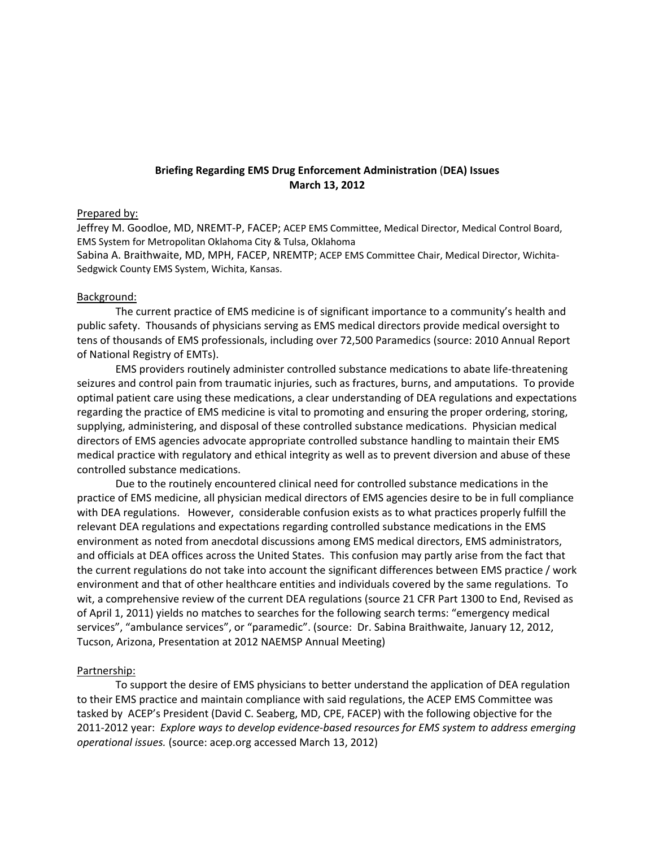## **Briefing Regarding EMS Drug Enforcement Administration** (**DEA) Issues March 13, 2012**

## Prepared by:

Jeffrey M. Goodloe, MD, NREMT‐P, FACEP; ACEP EMS Committee, Medical Director, Medical Control Board, EMS System for Metropolitan Oklahoma City & Tulsa, Oklahoma

Sabina A. Braithwaite, MD, MPH, FACEP, NREMTP; ACEP EMS Committee Chair, Medical Director, Wichita‐ Sedgwick County EMS System, Wichita, Kansas.

## Background:

The current practice of EMS medicine is of significant importance to a community's health and public safety. Thousands of physicians serving as EMS medical directors provide medical oversight to tens of thousands of EMS professionals, including over 72,500 Paramedics (source: 2010 Annual Report of National Registry of EMTs).

EMS providers routinely administer controlled substance medications to abate life‐threatening seizures and control pain from traumatic injuries, such as fractures, burns, and amputations. To provide optimal patient care using these medications, a clear understanding of DEA regulations and expectations regarding the practice of EMS medicine is vital to promoting and ensuring the proper ordering, storing, supplying, administering, and disposal of these controlled substance medications. Physician medical directors of EMS agencies advocate appropriate controlled substance handling to maintain their EMS medical practice with regulatory and ethical integrity as well as to prevent diversion and abuse of these controlled substance medications.

Due to the routinely encountered clinical need for controlled substance medications in the practice of EMS medicine, all physician medical directors of EMS agencies desire to be in full compliance with DEA regulations. However, considerable confusion exists as to what practices properly fulfill the relevant DEA regulations and expectations regarding controlled substance medications in the EMS environment as noted from anecdotal discussions among EMS medical directors, EMS administrators, and officials at DEA offices across the United States. This confusion may partly arise from the fact that the current regulations do not take into account the significant differences between EMS practice / work environment and that of other healthcare entities and individuals covered by the same regulations. To wit, a comprehensive review of the current DEA regulations (source 21 CFR Part 1300 to End, Revised as of April 1, 2011) yields no matches to searches for the following search terms: "emergency medical services", "ambulance services", or "paramedic". (source: Dr. Sabina Braithwaite, January 12, 2012, Tucson, Arizona, Presentation at 2012 NAEMSP Annual Meeting)

## Partnership:

To support the desire of EMS physicians to better understand the application of DEA regulation to their EMS practice and maintain compliance with said regulations, the ACEP EMS Committee was tasked by ACEP's President (David C. Seaberg, MD, CPE, FACEP) with the following objective for the 2011‐2012 year: *Explore ways to develop evidence‐based resources for EMS system to address emerging operational issues.* (source: acep.org accessed March 13, 2012)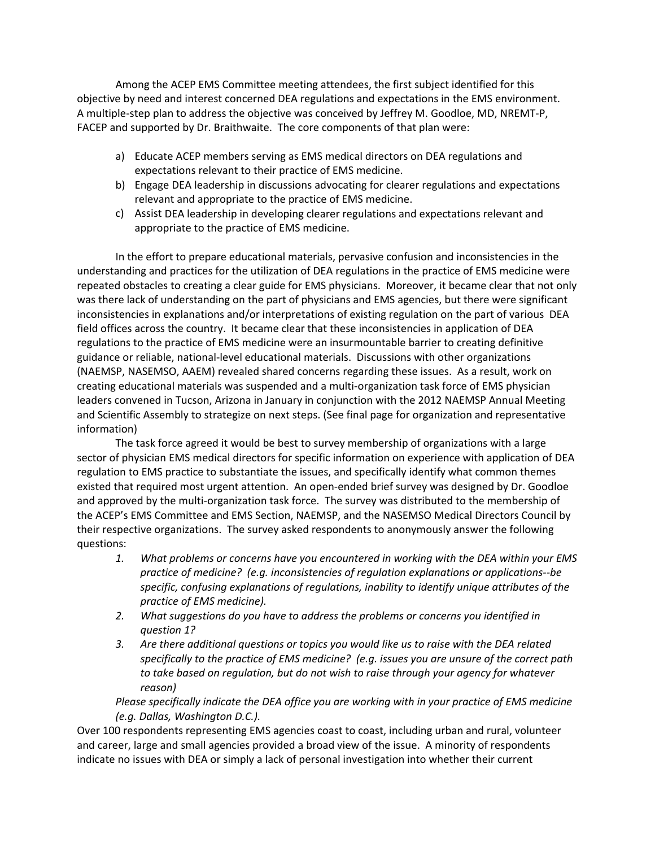Among the ACEP EMS Committee meeting attendees, the first subject identified for this objective by need and interest concerned DEA regulations and expectations in the EMS environment. A multiple‐step plan to address the objective was conceived by Jeffrey M. Goodloe, MD, NREMT‐P, FACEP and supported by Dr. Braithwaite. The core components of that plan were:

- a) Educate ACEP members serving as EMS medical directors on DEA regulations and expectations relevant to their practice of EMS medicine.
- b) Engage DEA leadership in discussions advocating for clearer regulations and expectations relevant and appropriate to the practice of EMS medicine.
- c) Assist DEA leadership in developing clearer regulations and expectations relevant and appropriate to the practice of EMS medicine.

In the effort to prepare educational materials, pervasive confusion and inconsistencies in the understanding and practices for the utilization of DEA regulations in the practice of EMS medicine were repeated obstacles to creating a clear guide for EMS physicians. Moreover, it became clear that not only was there lack of understanding on the part of physicians and EMS agencies, but there were significant inconsistencies in explanations and/or interpretations of existing regulation on the part of various DEA field offices across the country. It became clear that these inconsistencies in application of DEA regulations to the practice of EMS medicine were an insurmountable barrier to creating definitive guidance or reliable, national‐level educational materials. Discussions with other organizations (NAEMSP, NASEMSO, AAEM) revealed shared concerns regarding these issues. As a result, work on creating educational materials was suspended and a multi‐organization task force of EMS physician leaders convened in Tucson, Arizona in January in conjunction with the 2012 NAEMSP Annual Meeting and Scientific Assembly to strategize on next steps. (See final page for organization and representative information)

The task force agreed it would be best to survey membership of organizations with a large sector of physician EMS medical directors for specific information on experience with application of DEA regulation to EMS practice to substantiate the issues, and specifically identify what common themes existed that required most urgent attention. An open‐ended brief survey was designed by Dr. Goodloe and approved by the multi‐organization task force. The survey was distributed to the membership of the ACEP's EMS Committee and EMS Section, NAEMSP, and the NASEMSO Medical Directors Council by their respective organizations. The survey asked respondents to anonymously answer the following questions:

- *1. What problems or concerns have you encountered in working with the DEA within your EMS practice of medicine? (e.g. inconsistencies of regulation explanations or applications‐‐be specific, confusing explanations of regulations, inability to identify unique attributes of the practice of EMS medicine).*
- *2. What suggestions do you have to address the problems or concerns you identified in question 1?*
- *3. Are there additional questions or topics you would like us to raise with the DEA related specifically to the practice of EMS medicine? (e.g. issues you are unsure of the correct path to take based on regulation, but do not wish to raise through your agency for whatever reason)*

*Please specifically indicate the DEA office you are working with in your practice of EMS medicine (e.g. Dallas, Washington D.C.).*

Over 100 respondents representing EMS agencies coast to coast, including urban and rural, volunteer and career, large and small agencies provided a broad view of the issue. A minority of respondents indicate no issues with DEA or simply a lack of personal investigation into whether their current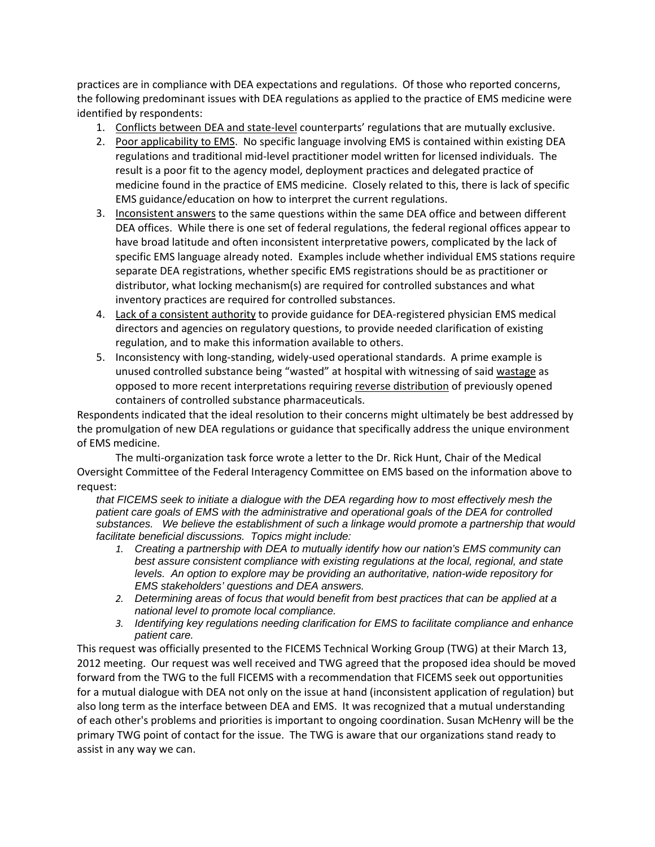practices are in compliance with DEA expectations and regulations. Of those who reported concerns, the following predominant issues with DEA regulations as applied to the practice of EMS medicine were identified by respondents:

- 1. Conflicts between DEA and state-level counterparts' regulations that are mutually exclusive.
- 2. Poor applicability to EMS. No specific language involving EMS is contained within existing DEA regulations and traditional mid‐level practitioner model written for licensed individuals. The result is a poor fit to the agency model, deployment practices and delegated practice of medicine found in the practice of EMS medicine. Closely related to this, there is lack of specific EMS guidance/education on how to interpret the current regulations.
- 3. Inconsistent answers to the same questions within the same DEA office and between different DEA offices. While there is one set of federal regulations, the federal regional offices appear to have broad latitude and often inconsistent interpretative powers, complicated by the lack of specific EMS language already noted. Examples include whether individual EMS stations require separate DEA registrations, whether specific EMS registrations should be as practitioner or distributor, what locking mechanism(s) are required for controlled substances and what inventory practices are required for controlled substances.
- 4. Lack of a consistent authority to provide guidance for DEA‐registered physician EMS medical directors and agencies on regulatory questions, to provide needed clarification of existing regulation, and to make this information available to others.
- 5. Inconsistency with long-standing, widely-used operational standards. A prime example is unused controlled substance being "wasted" at hospital with witnessing of said wastage as opposed to more recent interpretations requiring reverse distribution of previously opened containers of controlled substance pharmaceuticals.

Respondents indicated that the ideal resolution to their concerns might ultimately be best addressed by the promulgation of new DEA regulations or guidance that specifically address the unique environment of EMS medicine.

The multi‐organization task force wrote a letter to the Dr. Rick Hunt, Chair of the Medical Oversight Committee of the Federal Interagency Committee on EMS based on the information above to request:

*that FICEMS seek to initiate a dialogue with the DEA regarding how to most effectively mesh the patient care goals of EMS with the administrative and operational goals of the DEA for controlled substances. We believe the establishment of such a linkage would promote a partnership that would facilitate beneficial discussions. Topics might include:*

- *1. Creating a partnership with DEA to mutually identify how our nation's EMS community can best assure consistent compliance with existing regulations at the local, regional, and state levels. An option to explore may be providing an authoritative, nation-wide repository for EMS stakeholders' questions and DEA answers.*
- *2. Determining areas of focus that would benefit from best practices that can be applied at a national level to promote local compliance.*
- *3. Identifying key regulations needing clarification for EMS to facilitate compliance and enhance patient care.*

This request was officially presented to the FICEMS Technical Working Group (TWG) at their March 13, 2012 meeting. Our request was well received and TWG agreed that the proposed idea should be moved forward from the TWG to the full FICEMS with a recommendation that FICEMS seek out opportunities for a mutual dialogue with DEA not only on the issue at hand (inconsistent application of regulation) but also long term as the interface between DEA and EMS. It was recognized that a mutual understanding of each other's problems and priorities is important to ongoing coordination. Susan McHenry will be the primary TWG point of contact for the issue. The TWG is aware that our organizations stand ready to assist in any way we can.